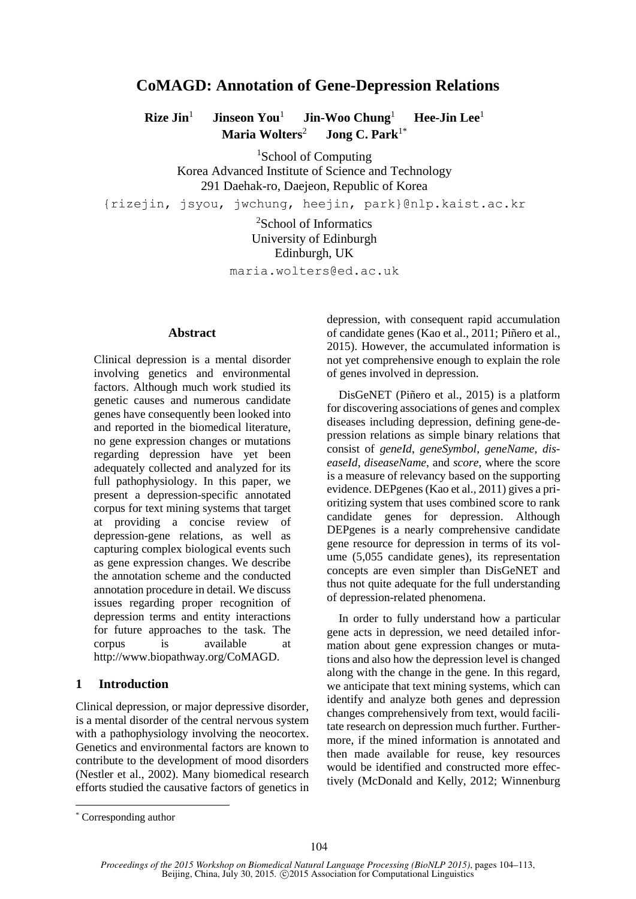# **CoMAGD: Annotation of Gene-Depression Relations**

**Rize Jin**<sup>1</sup>  **Jinseon You**<sup>1</sup>  **Jin-Woo Chung**<sup>1</sup>  **Hee-Jin Lee**<sup>1</sup>  **Maria Wolters**<sup>2</sup>  **Jong C. Park**1\*

<sup>1</sup>School of Computing Korea Advanced Institute of Science and Technology 291 Daehak-ro, Daejeon, Republic of Korea

{rizejin, jsyou, jwchung, heejin, park}@nlp.kaist.ac.kr

<sup>2</sup>School of Informatics University of Edinburgh Edinburgh, UK

maria.wolters@ed.ac.uk

#### **Abstract**

Clinical depression is a mental disorder involving genetics and environmental factors. Although much work studied its genetic causes and numerous candidate genes have consequently been looked into and reported in the biomedical literature, no gene expression changes or mutations regarding depression have yet been adequately collected and analyzed for its full pathophysiology. In this paper, we present a depression-specific annotated corpus for text mining systems that target at providing a concise review of depression-gene relations, as well as capturing complex biological events such as gene expression changes. We describe the annotation scheme and the conducted annotation procedure in detail. We discuss issues regarding proper recognition of depression terms and entity interactions for future approaches to the task. The corpus is available at http://www.biopathway.org/CoMAGD.

# **1 Introduction**

Clinical depression, or major depressive disorder, is a mental disorder of the central nervous system with a pathophysiology involving the neocortex. Genetics and environmental factors are known to contribute to the development of mood disorders (Nestler et al., 2002). Many biomedical research efforts studied the causative factors of genetics in depression, with consequent rapid accumulation of candidate genes (Kao et al., 2011; Piñero et al., 2015). However, the accumulated information is not yet comprehensive enough to explain the role of genes involved in depression.

DisGeNET (Piñero et al., 2015) is a platform for discovering associations of genes and complex diseases including depression, defining gene-depression relations as simple binary relations that consist of *geneId*, *geneSymbol*, *geneName*, *diseaseId*, *diseaseName*, and *score*, where the score is a measure of relevancy based on the supporting evidence. DEPgenes (Kao et al., 2011) gives a prioritizing system that uses combined score to rank candidate genes for depression. Although DEPgenes is a nearly comprehensive candidate gene resource for depression in terms of its volume (5,055 candidate genes), its representation concepts are even simpler than DisGeNET and thus not quite adequate for the full understanding of depression-related phenomena.

In order to fully understand how a particular gene acts in depression, we need detailed information about gene expression changes or mutations and also how the depression level is changed along with the change in the gene. In this regard, we anticipate that text mining systems, which can identify and analyze both genes and depression changes comprehensively from text, would facilitate research on depression much further. Furthermore, if the mined information is annotated and then made available for reuse, key resources would be identified and constructed more effectively (McDonald and Kelly, 2012; Winnenburg

<sup>\*</sup> Corresponding author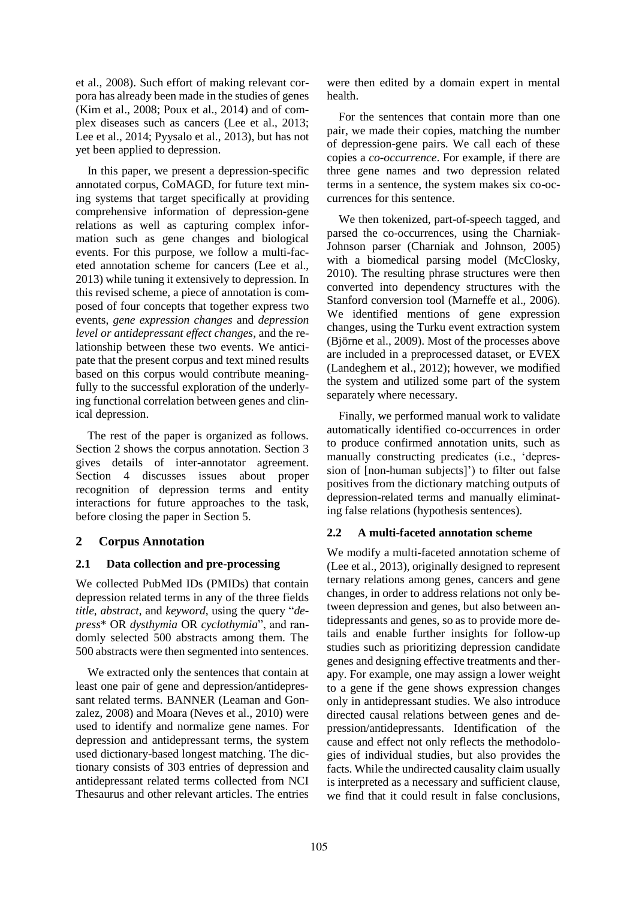et al., 2008). Such effort of making relevant corpora has already been made in the studies of genes (Kim et al., 2008; Poux et al., 2014) and of complex diseases such as cancers (Lee et al., 2013; Lee et al., 2014; Pyysalo et al., 2013), but has not yet been applied to depression.

In this paper, we present a depression-specific annotated corpus, CoMAGD, for future text mining systems that target specifically at providing comprehensive information of depression-gene relations as well as capturing complex information such as gene changes and biological events. For this purpose, we follow a multi-faceted annotation scheme for cancers (Lee et al., 2013) while tuning it extensively to depression. In this revised scheme, a piece of annotation is composed of four concepts that together express two events, *gene expression changes* and *depression level or antidepressant effect changes*, and the relationship between these two events. We anticipate that the present corpus and text mined results based on this corpus would contribute meaningfully to the successful exploration of the underlying functional correlation between genes and clinical depression.

The rest of the paper is organized as follows. Section 2 shows the corpus annotation. Section 3 gives details of inter-annotator agreement. Section 4 discusses issues about proper recognition of depression terms and entity interactions for future approaches to the task, before closing the paper in Section 5.

# **2 Corpus Annotation**

### **2.1 Data collection and pre-processing**

We collected PubMed IDs (PMIDs) that contain depression related terms in any of the three fields *title*, *abstract*, and *keyword*, using the query "*depress*\* OR *dysthymia* OR *cyclothymia*", and randomly selected 500 abstracts among them. The 500 abstracts were then segmented into sentences.

We extracted only the sentences that contain at least one pair of gene and depression/antidepressant related terms. BANNER (Leaman and Gonzalez, 2008) and Moara (Neves et al., 2010) were used to identify and normalize gene names. For depression and antidepressant terms, the system used dictionary-based longest matching. The dictionary consists of 303 entries of depression and antidepressant related terms collected from NCI Thesaurus and other relevant articles. The entries

were then edited by a domain expert in mental health.

For the sentences that contain more than one pair, we made their copies, matching the number of depression-gene pairs. We call each of these copies a *co-occurrence*. For example, if there are three gene names and two depression related terms in a sentence, the system makes six co-occurrences for this sentence.

We then tokenized, part-of-speech tagged, and parsed the co-occurrences, using the Charniak-Johnson parser (Charniak and Johnson, 2005) with a biomedical parsing model (McClosky, 2010). The resulting phrase structures were then converted into dependency structures with the Stanford conversion tool (Marneffe et al., 2006). We identified mentions of gene expression changes, using the Turku event extraction system (Björne et al., 2009). Most of the processes above are included in a preprocessed dataset, or EVEX (Landeghem et al., 2012); however, we modified the system and utilized some part of the system separately where necessary.

Finally, we performed manual work to validate automatically identified co-occurrences in order to produce confirmed annotation units, such as manually constructing predicates (i.e., 'depression of [non-human subjects]') to filter out false positives from the dictionary matching outputs of depression-related terms and manually eliminating false relations (hypothesis sentences).

### **2.2 A multi-faceted annotation scheme**

We modify a multi-faceted annotation scheme of (Lee et al., 2013), originally designed to represent ternary relations among genes, cancers and gene changes, in order to address relations not only between depression and genes, but also between antidepressants and genes, so as to provide more details and enable further insights for follow-up studies such as prioritizing depression candidate genes and designing effective treatments and therapy. For example, one may assign a lower weight to a gene if the gene shows expression changes only in antidepressant studies. We also introduce directed causal relations between genes and depression/antidepressants. Identification of the cause and effect not only reflects the methodologies of individual studies, but also provides the facts. While the undirected causality claim usually is interpreted as a necessary and sufficient clause, we find that it could result in false conclusions,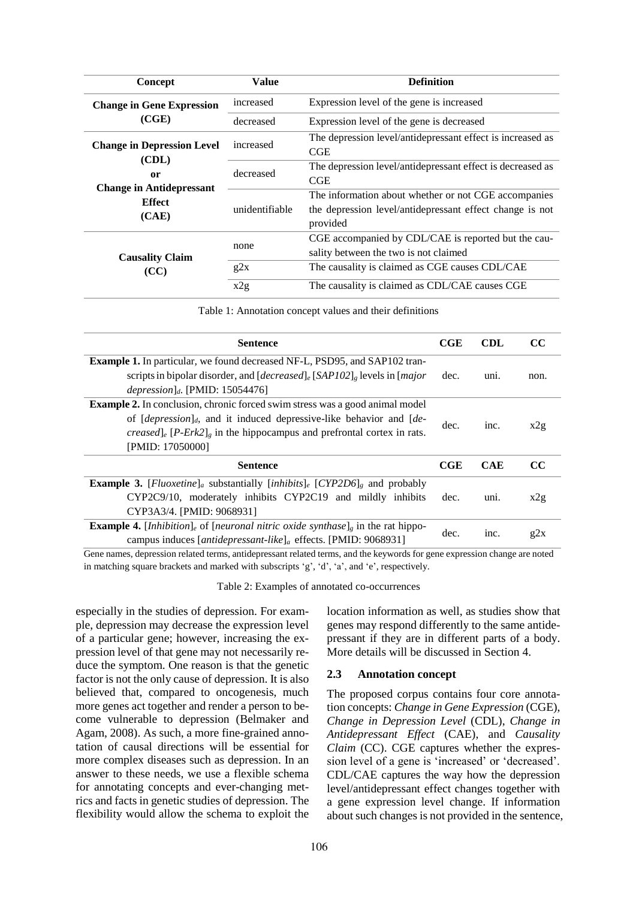| Concept                                                   | Value          | <b>Definition</b>                                                                                                            |
|-----------------------------------------------------------|----------------|------------------------------------------------------------------------------------------------------------------------------|
| <b>Change in Gene Expression</b>                          | increased      | Expression level of the gene is increased                                                                                    |
| (CGE)                                                     | decreased      | Expression level of the gene is decreased                                                                                    |
| <b>Change in Depression Level</b><br>(CDL)<br>or          | increased      | The depression level/antidepressant effect is increased as<br>CGE                                                            |
|                                                           | decreased      | The depression level/antidepressant effect is decreased as<br>CGE                                                            |
| <b>Change in Antidepressant</b><br><b>Effect</b><br>(CAE) | unidentifiable | The information about whether or not CGE accompanies<br>the depression level/antidepressant effect change is not<br>provided |
| <b>Causality Claim</b>                                    | none           | CGE accompanied by CDL/CAE is reported but the cau-<br>sality between the two is not claimed                                 |
| (CC)                                                      | g2x            | The causality is claimed as CGE causes CDL/CAE                                                                               |
|                                                           | x2g            | The causality is claimed as CDL/CAE causes CGE                                                                               |

Table 1: Annotation concept values and their definitions

| <b>Sentence</b>                                                                                                                                                                                                                                                                      | CGE        | CDL        | CC.  |
|--------------------------------------------------------------------------------------------------------------------------------------------------------------------------------------------------------------------------------------------------------------------------------------|------------|------------|------|
| <b>Example 1.</b> In particular, we found decreased NF-L, PSD95, and SAP102 tran-<br>scripts in bipolar disorder, and $[decreased]_e$ [SAP102] <sub>g</sub> levels in [ <i>major</i>                                                                                                 | dec.       | uni.       | non. |
| depression <sub>d</sub> . [PMID: 15054476]                                                                                                                                                                                                                                           |            |            |      |
| <b>Example 2.</b> In conclusion, chronic forced swim stress was a good animal model<br>of $[depression]_d$ , and it induced depressive-like behavior and $[de-$<br><i>creased</i> <sub>le</sub> $[P-Erk2]_{e}$ in the hippocampus and prefrontal cortex in rats.<br>[PMID: 17050000] | dec.       | inc.       | x2g  |
| <b>Sentence</b>                                                                                                                                                                                                                                                                      | <b>CGE</b> | <b>CAE</b> | CC.  |
| <b>Example 3.</b> [ <i>Fluoxetine</i> ] <sub><i>a</i></sub> substantially [ <i>inhibits</i> ] <sub><i>e</i></sub> [CYP2D6] <sub><i>g</i></sub> and probably                                                                                                                          |            |            |      |
| CYP2C9/10, moderately inhibits CYP2C19 and mildly inhibits<br>CYP3A3/4. [PMID: 9068931]                                                                                                                                                                                              | dec.       | uni.       | x2g  |
| <b>Example 4.</b> [Inhibition] <sub>e</sub> of [neuronal nitric oxide synthase] <sub>g</sub> in the rat hippo-<br>campus induces [antidepressant-like] <sub>a</sub> effects. [PMID: 9068931]                                                                                         | dec.       | inc.       | g2x  |

Gene names, depression related terms, antidepressant related terms, and the keywords for gene expression change are noted in matching square brackets and marked with subscripts 'g', 'd', 'a', and 'e', respectively.

Table 2: Examples of annotated co-occurrences

especially in the studies of depression. For example, depression may decrease the expression level of a particular gene; however, increasing the expression level of that gene may not necessarily reduce the symptom. One reason is that the genetic factor is not the only cause of depression. It is also believed that, compared to oncogenesis, much more genes act together and render a person to become vulnerable to depression (Belmaker and Agam, 2008). As such, a more fine-grained annotation of causal directions will be essential for more complex diseases such as depression. In an answer to these needs, we use a flexible schema for annotating concepts and ever-changing metrics and facts in genetic studies of depression. The flexibility would allow the schema to exploit the

location information as well, as studies show that genes may respond differently to the same antidepressant if they are in different parts of a body. More details will be discussed in Section 4.

#### **2.3 Annotation concept**

The proposed corpus contains four core annotation concepts: *Change in Gene Expression* (CGE), *Change in Depression Level* (CDL), *Change in Antidepressant Effect* (CAE), and *Causality Claim* (CC). CGE captures whether the expression level of a gene is 'increased' or 'decreased'. CDL/CAE captures the way how the depression level/antidepressant effect changes together with a gene expression level change. If information about such changes is not provided in the sentence,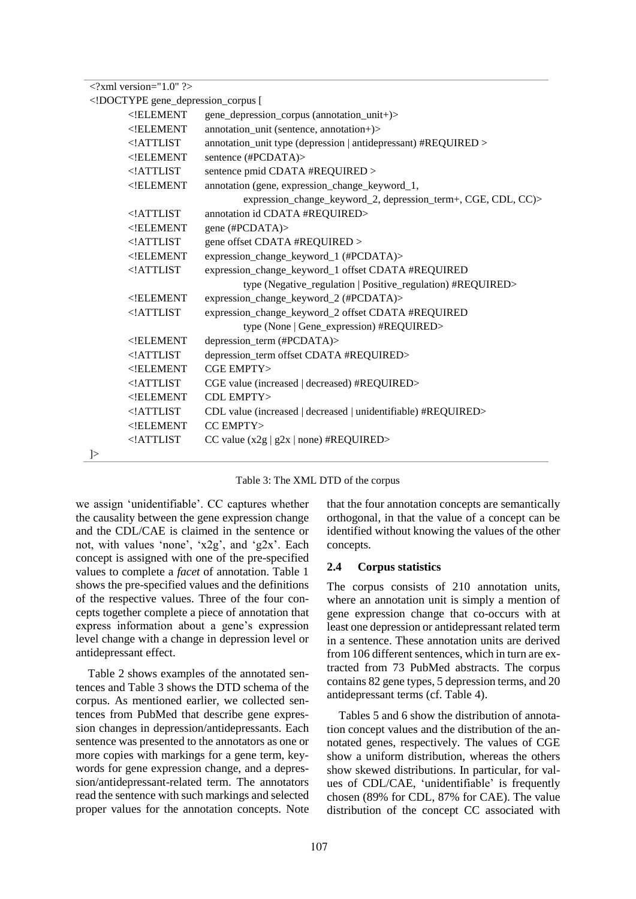| $\langle$ ?xml version="1.0" ?> |                                                                                        |                                                                |
|---------------------------------|----------------------------------------------------------------------------------------|----------------------------------------------------------------|
|                                 |                                                                                        | gene_depression_corpus [</td                                   |
|                                 | $<$ !ELEMENT                                                                           | gene_depression_corpus (annotation_unit+)>                     |
|                                 | ELEMENT</td <td>annotation_unit (sentence, annotation+)&gt;</td>                       | annotation_unit (sentence, annotation+)>                       |
|                                 | ATTLIST</td <td>annotation_unit type (depression   antidepressant) #REQUIRED &gt;</td> | annotation_unit type (depression   antidepressant) #REQUIRED > |
|                                 | $<$ !ELEMENT                                                                           | sentence (#PCDATA)>                                            |
|                                 | ATTLIST</td <td>sentence pmid CDATA #REQUIRED &gt;</td>                                | sentence pmid CDATA #REQUIRED >                                |
|                                 | $<$ !ELEMENT                                                                           | annotation (gene, expression_change_keyword_1,                 |
|                                 |                                                                                        | expression_change_keyword_2, depression_term+, CGE, CDL, CC)>  |
|                                 | $<$ !ATTLIST                                                                           | annotation id CDATA #REQUIRED>                                 |
|                                 | $<$ !ELEMENT                                                                           | gene (#PCDATA)>                                                |
|                                 | ATTLIST</td <td>gene offset CDATA #REQUIRED &gt;</td>                                  | gene offset CDATA #REQUIRED >                                  |
|                                 | $<$ !ELEMENT                                                                           | expression_change_keyword_1 (#PCDATA)>                         |
|                                 | ATTLIST</td <td>expression_change_keyword_1 offset CDATA #REQUIRED</td>                | expression_change_keyword_1 offset CDATA #REQUIRED             |
|                                 |                                                                                        | type (Negative_regulation   Positive_regulation) #REQUIRED>    |
|                                 | $<$ !ELEMENT                                                                           | expression_change_keyword_2 (#PCDATA)>                         |
|                                 | ATTLIST</td <td>expression_change_keyword_2 offset CDATA #REQUIRED</td>                | expression_change_keyword_2 offset CDATA #REQUIRED             |
|                                 |                                                                                        | type (None   Gene_expression) #REQUIRED>                       |
|                                 | $<$ !ELEMENT                                                                           | depression_term (#PCDATA)>                                     |
|                                 | $<$ !ATTLIST                                                                           | depression_term offset CDATA #REQUIRED>                        |
|                                 | $<$ !ELEMENT                                                                           | CGE EMPTY>                                                     |
|                                 | ATTLIST</td <td>CGE value (increased   decreased) #REQUIRED&gt;</td>                   | CGE value (increased   decreased) #REQUIRED>                   |
|                                 | $<$ !ELEMENT                                                                           | CDL EMPTY>                                                     |
|                                 | ATTLIST</td <td>CDL value (increased   decreased   unidentifiable) #REQUIRED&gt;</td>  | CDL value (increased   decreased   unidentifiable) #REQUIRED>  |
|                                 | $<$ !ELEMENT                                                                           | CC EMPTY>                                                      |
|                                 | ATTLIST</td <td>CC value <math>(x2g   g2x   none)</math>#REQUIRED&gt;</td>             | CC value $(x2g   g2x   none)$ #REQUIRED>                       |
| $\vert$                         |                                                                                        |                                                                |

Table 3: The XML DTD of the corpus

we assign 'unidentifiable'. CC captures whether the causality between the gene expression change and the CDL/CAE is claimed in the sentence or not, with values 'none', 'x2g', and 'g2x'. Each concept is assigned with one of the pre-specified values to complete a *facet* of annotation. Table 1 shows the pre-specified values and the definitions of the respective values. Three of the four concepts together complete a piece of annotation that express information about a gene's expression level change with a change in depression level or antidepressant effect.

Table 2 shows examples of the annotated sentences and Table 3 shows the DTD schema of the corpus. As mentioned earlier, we collected sentences from PubMed that describe gene expression changes in depression/antidepressants. Each sentence was presented to the annotators as one or more copies with markings for a gene term, keywords for gene expression change, and a depression/antidepressant-related term. The annotators read the sentence with such markings and selected proper values for the annotation concepts. Note that the four annotation concepts are semantically orthogonal, in that the value of a concept can be identified without knowing the values of the other concepts.

#### **2.4 Corpus statistics**

The corpus consists of 210 annotation units, where an annotation unit is simply a mention of gene expression change that co-occurs with at least one depression or antidepressant related term in a sentence. These annotation units are derived from 106 different sentences, which in turn are extracted from 73 PubMed abstracts. The corpus contains 82 gene types, 5 depression terms, and 20 antidepressant terms (cf. Table 4).

Tables 5 and 6 show the distribution of annotation concept values and the distribution of the annotated genes, respectively. The values of CGE show a uniform distribution, whereas the others show skewed distributions. In particular, for values of CDL/CAE, 'unidentifiable' is frequently chosen (89% for CDL, 87% for CAE). The value distribution of the concept CC associated with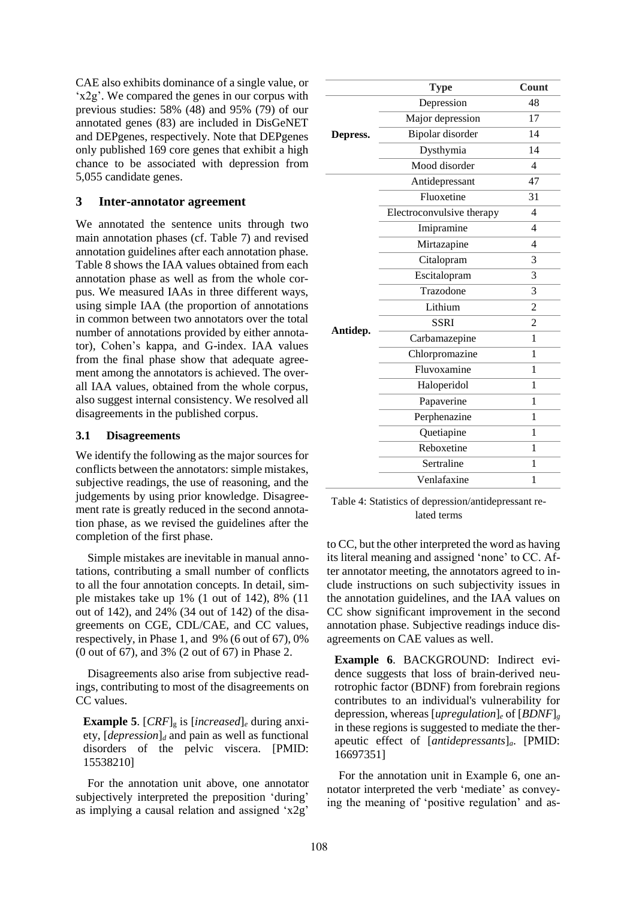CAE also exhibits dominance of a single value, or 'x2g'. We compared the genes in our corpus with previous studies: 58% (48) and 95% (79) of our annotated genes (83) are included in DisGeNET and DEPgenes, respectively. Note that DEPgenes only published 169 core genes that exhibit a high chance to be associated with depression from 5,055 candidate genes.

### **3 Inter-annotator agreement**

We annotated the sentence units through two main annotation phases (cf. Table 7) and revised annotation guidelines after each annotation phase. Table 8 shows the IAA values obtained from each annotation phase as well as from the whole corpus. We measured IAAs in three different ways, using simple IAA (the proportion of annotations in common between two annotators over the total number of annotations provided by either annotator), Cohen's kappa, and G-index. IAA values from the final phase show that adequate agreement among the annotators is achieved. The overall IAA values, obtained from the whole corpus, also suggest internal consistency. We resolved all disagreements in the published corpus.

### **3.1 Disagreements**

We identify the following as the major sources for conflicts between the annotators: simple mistakes, subjective readings, the use of reasoning, and the judgements by using prior knowledge. Disagreement rate is greatly reduced in the second annotation phase, as we revised the guidelines after the completion of the first phase.

Simple mistakes are inevitable in manual annotations, contributing a small number of conflicts to all the four annotation concepts. In detail, simple mistakes take up 1% (1 out of 142), 8% (11 out of 142), and 24% (34 out of 142) of the disagreements on CGE, CDL/CAE, and CC values, respectively, in Phase 1, and 9% (6 out of 67), 0% (0 out of 67), and 3% (2 out of 67) in Phase 2.

Disagreements also arise from subjective readings, contributing to most of the disagreements on CC values.

**Example 5**.  $[CRF]_g$  is  $[increased]_e$  during anxiety, [*depression*]*<sup>d</sup>* and pain as well as functional disorders of the pelvic viscera. [PMID: 15538210]

For the annotation unit above, one annotator subjectively interpreted the preposition 'during' as implying a causal relation and assigned 'x2g'

|          | <b>Type</b>               | Count                    |
|----------|---------------------------|--------------------------|
|          | Depression                | 48                       |
|          | Major depression          | 17                       |
| Depress. | Bipolar disorder          | 14                       |
|          | Dysthymia                 | 14                       |
|          | Mood disorder             | $\overline{\mathcal{L}}$ |
|          | Antidepressant            | 47                       |
|          | Fluoxetine                | 31                       |
|          | Electroconvulsive therapy | $\overline{\mathcal{L}}$ |
|          | Imipramine                | 4                        |
|          | Mirtazapine               | $\overline{\mathcal{L}}$ |
|          | Citalopram                | 3                        |
|          | Escitalopram              | 3                        |
|          | Trazodone                 | 3                        |
|          | Lithium                   | $\overline{2}$           |
| Antidep. | <b>SSRI</b>               | $\overline{2}$           |
|          | Carbamazepine             | 1                        |
|          | Chlorpromazine            | 1                        |
|          | Fluvoxamine               | 1                        |
|          | Haloperidol               | 1                        |
|          | Papaverine                | 1                        |
|          | Perphenazine              | 1                        |
|          | Quetiapine                | 1                        |
|          | Reboxetine                | 1                        |
|          | Sertraline                | 1                        |
|          | Venlafaxine               | 1                        |

Table 4: Statistics of depression/antidepressant related terms

to CC, but the other interpreted the word as having its literal meaning and assigned 'none' to CC. After annotator meeting, the annotators agreed to include instructions on such subjectivity issues in the annotation guidelines, and the IAA values on CC show significant improvement in the second annotation phase. Subjective readings induce disagreements on CAE values as well.

**Example 6**. BACKGROUND: Indirect evidence suggests that loss of brain-derived neurotrophic factor (BDNF) from forebrain regions contributes to an individual's vulnerability for depression, whereas [*upregulation*]*<sup>e</sup>* of [*BDNF*]*<sup>g</sup>* in these regions is suggested to mediate the therapeutic effect of [*antidepressants*]*a*. [PMID: 16697351]

For the annotation unit in Example 6, one annotator interpreted the verb 'mediate' as conveying the meaning of 'positive regulation' and as-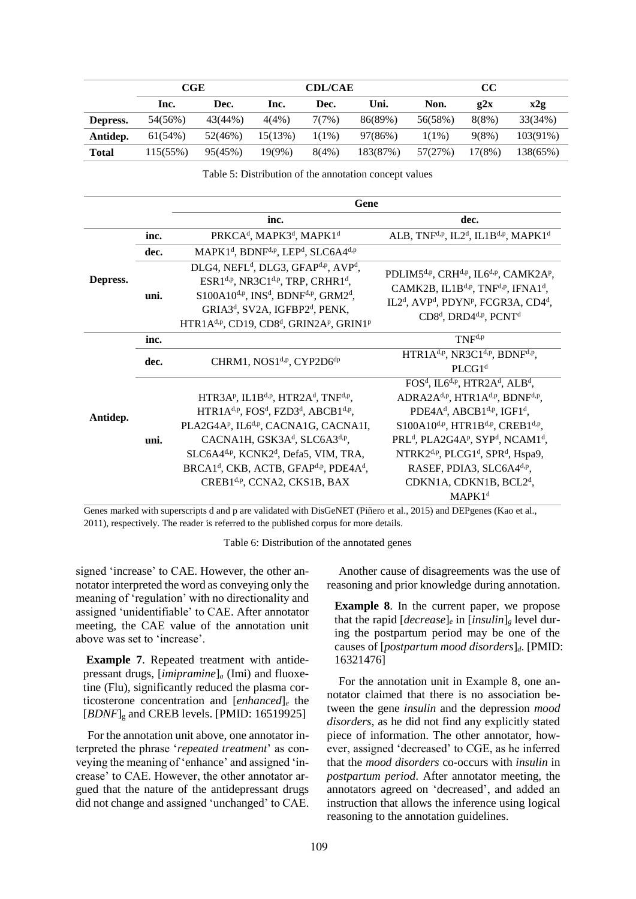|              | CGE      |         | <b>CDL/CAE</b> |          | cc       |          |        |          |
|--------------|----------|---------|----------------|----------|----------|----------|--------|----------|
|              | Inc.     | Dec.    | lnc.           | Dec.     | Uni.     | Non.     | 22x    | x2g      |
| Depress.     | 54(56%)  | 43(44%) | 4(4%)          | 7(7%)    | 86(89%)  | 56(58%)  | 8(8%)  | 33(34%)  |
| Antidep.     | 61(54%)  | 52(46%) | 15(13%)        | $1(1\%)$ | 97(86%)  | $1(1\%)$ | 9(8%)  | 103(91%) |
| <b>Total</b> | 115(55%) | 95(45%) | $19(9\%)$      | 8(4%)    | 183(87%) | 57(27%)  | 17(8%) | 138(65%) |

Table 5: Distribution of the annotation concept values

|          |      | Gene                                                                                                                                                                                                                                                                                                                                                                                                                                                                    |                                                                                                                                                                                                                                                                                                                                                                                                                                                                                                                                                                   |
|----------|------|-------------------------------------------------------------------------------------------------------------------------------------------------------------------------------------------------------------------------------------------------------------------------------------------------------------------------------------------------------------------------------------------------------------------------------------------------------------------------|-------------------------------------------------------------------------------------------------------------------------------------------------------------------------------------------------------------------------------------------------------------------------------------------------------------------------------------------------------------------------------------------------------------------------------------------------------------------------------------------------------------------------------------------------------------------|
|          |      | inc.                                                                                                                                                                                                                                                                                                                                                                                                                                                                    | dec.                                                                                                                                                                                                                                                                                                                                                                                                                                                                                                                                                              |
|          | inc. | PRKCA <sup>d</sup> , MAPK3 <sup>d</sup> , MAPK1 <sup>d</sup>                                                                                                                                                                                                                                                                                                                                                                                                            | ALB, TNF <sup>d,p</sup> , IL2 <sup>d</sup> , IL1B <sup>d,p</sup> , MAPK1 <sup>d</sup>                                                                                                                                                                                                                                                                                                                                                                                                                                                                             |
| Depress. | dec. | MAPK1 <sup>d</sup> , BDNF <sup>d,p</sup> , LEP <sup>d</sup> , SLC6A4 <sup>d,p</sup>                                                                                                                                                                                                                                                                                                                                                                                     |                                                                                                                                                                                                                                                                                                                                                                                                                                                                                                                                                                   |
|          | uni. | DLG4, NEFL <sup>d</sup> , DLG3, GFAP <sup>d,p</sup> , AVP <sup>d</sup> ,<br>ESR1 <sup>d,p</sup> , NR3C1 <sup>d,p</sup> , TRP, CRHR1 <sup>d</sup> ,<br>$S100A10^{d,p}$ , INS <sup>d</sup> , BDNF <sup>d,p</sup> , GRM2 <sup>d</sup> ,<br>GRIA3 <sup>d</sup> , SV2A, IGFBP2 <sup>d</sup> , PENK,<br>HTR1A <sup>d,p</sup> , CD19, CD8 <sup>d</sup> , GRIN2A <sup>p</sup> , GRIN1 <sup>p</sup>                                                                              | PDLIM5 <sup>d,p</sup> , CRH <sup>d,p</sup> , IL6 <sup>d,p</sup> , CAMK2A <sup>p</sup> ,<br>CAMK2B, IL1B <sup>d,p</sup> , TNF <sup>d,p</sup> , IFNA1 <sup>d</sup> ,<br>IL2 <sup>d</sup> , AVP <sup>d</sup> , PDYN <sup>p</sup> , FCGR3A, CD4 <sup>d</sup> ,<br>CD8 <sup>d</sup> , DRD4 <sup>d,p</sup> , PCNT <sup>d</sup>                                                                                                                                                                                                                                          |
| Antidep. | inc. |                                                                                                                                                                                                                                                                                                                                                                                                                                                                         | $TNF^{d,p}$                                                                                                                                                                                                                                                                                                                                                                                                                                                                                                                                                       |
|          | dec. | CHRM1, NOS1 <sup>d,p</sup> , CYP2D6 <sup>dp</sup>                                                                                                                                                                                                                                                                                                                                                                                                                       | HTR1A <sup>d,p</sup> , NR3C1 <sup>d,p</sup> , BDNF <sup>d,p</sup> ,<br>PLCG1 <sup>d</sup>                                                                                                                                                                                                                                                                                                                                                                                                                                                                         |
|          | uni. | HTR3AP, IL1B <sup>d,p</sup> , HTR2A <sup>d</sup> , TNF <sup>d,p</sup> ,<br>HTR1A <sup>d,p</sup> , FOS <sup>d</sup> , FZD3 <sup>d</sup> , ABCB1 <sup>d,p</sup> ,<br>PLA2G4AP, IL6 <sup>d,p</sup> , CACNA1G, CACNA1I,<br>CACNA1H, GSK3A <sup>d</sup> , SLC6A3 <sup>d,p</sup> ,<br>SLC6A4 <sup>d,p</sup> , KCNK2 <sup>d</sup> , Defa5, VIM, TRA,<br>BRCA1 <sup>d</sup> , CKB, ACTB, GFAP <sup>d,p</sup> , PDE4A <sup>d</sup> ,<br>CREB1 <sup>d,p</sup> , CCNA2, CKS1B, BAX | FOS <sup>d</sup> , IL6 <sup>d,p</sup> , HTR2A <sup>d</sup> , ALB <sup>d</sup> ,<br>ADRA2A <sup>d,p</sup> , HTR1A <sup>d,p</sup> , BDNF <sup>d,p</sup> ,<br>PDE4A <sup>d</sup> , ABCB1 <sup>d,p</sup> , IGF1 <sup>d</sup> ,<br>$S100A10^{d,p}$ , HTR1B <sup>d,p</sup> , CREB1 <sup>d,p</sup> ,<br>PRL <sup>d</sup> , PLA2G4A <sup>p</sup> , SYP <sup>d</sup> , NCAM1 <sup>d</sup> ,<br>NTRK2 <sup>d,p</sup> , PLCG1 <sup>d</sup> , SPR <sup>d</sup> , Hspa9,<br>RASEF, PDIA3, SLC6A4 <sup>d,p</sup> ,<br>CDKN1A, CDKN1B, BCL2 <sup>d</sup> ,<br>MAPK1 <sup>d</sup> |

Genes marked with superscripts d and p are validated with DisGeNET (Piñero et al., 2015) and DEPgenes (Kao et al., 2011), respectively. The reader is referred to the published corpus for more details.

Table 6: Distribution of the annotated genes

signed 'increase' to CAE. However, the other annotator interpreted the word as conveying only the meaning of 'regulation' with no directionality and assigned 'unidentifiable' to CAE. After annotator meeting, the CAE value of the annotation unit above was set to 'increase'.

**Example 7**. Repeated treatment with antidepressant drugs, [*imipramine*]*<sup>a</sup>* (Imi) and fluoxetine (Flu), significantly reduced the plasma corticosterone concentration and [*enhanced*]*<sup>e</sup>* the [*BDNF*]<sub>g</sub> and CREB levels. [PMID: 16519925]

For the annotation unit above, one annotator interpreted the phrase '*repeated treatment*' as conveying the meaning of 'enhance' and assigned 'increase' to CAE. However, the other annotator argued that the nature of the antidepressant drugs did not change and assigned 'unchanged' to CAE.

Another cause of disagreements was the use of reasoning and prior knowledge during annotation.

**Example 8**. In the current paper, we propose that the rapid  $[decrease]_e$  in  $[insulin]_g$  level during the postpartum period may be one of the causes of [*postpartum mood disorders*]*d*. [PMID: 16321476]

For the annotation unit in Example 8, one annotator claimed that there is no association between the gene *insulin* and the depression *mood disorders*, as he did not find any explicitly stated piece of information. The other annotator, however, assigned 'decreased' to CGE, as he inferred that the *mood disorders* co-occurs with *insulin* in *postpartum period*. After annotator meeting, the annotators agreed on 'decreased', and added an instruction that allows the inference using logical reasoning to the annotation guidelines.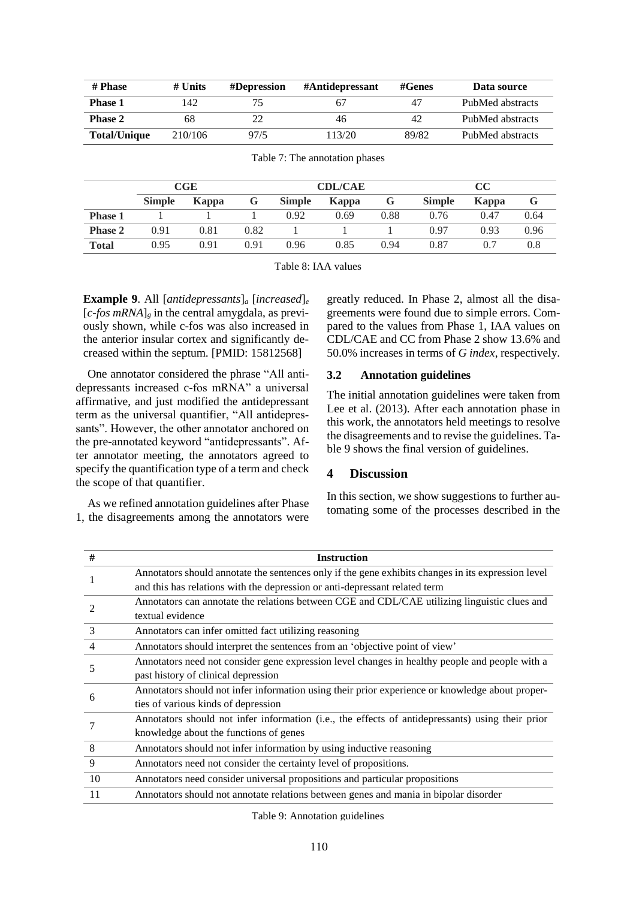| # Phase             | # Units | #Depression | #Antidepressant | $\#\mathbf{Genes}$ | Data source      |
|---------------------|---------|-------------|-----------------|--------------------|------------------|
| <b>Phase 1</b>      | 142     |             | 67              | 47                 | PubMed abstracts |
| <b>Phase 2</b>      | 68      |             | 46              | 42                 | PubMed abstracts |
| <b>Total/Unique</b> | 210/106 | 97/5        | 113/20          | 89/82              | PubMed abstracts |

|                | CGE           |       | <b>CDL/CAE</b> |               |       | cc   |               |       |      |
|----------------|---------------|-------|----------------|---------------|-------|------|---------------|-------|------|
|                | <b>Simple</b> | Kappa | G              | <b>Simple</b> | Kappa | G    | <b>Simple</b> | Kappa |      |
| <b>Phase 1</b> |               |       |                | 0.92          | 0.69  | 0.88 | 0.76          | 0.47  | 0.64 |
| <b>Phase 2</b> | 0.91          | 0.81  | 0.82           |               |       |      | 0.97          | 0.93  | 0.96 |
| <b>Total</b>   | 0.95          | 0.91  | 0.91           | 0.96          | 0.85  | 0.94 | 0.87          | 0.7   | 0.8  |

Table 7: The annotation phases

Table 8: IAA values

**Example 9**. All [*antidepressants*]*<sup>a</sup>* [*increased*]*<sup>e</sup>*  $[c-fos mRNA]$ <sub>g</sub> in the central amygdala, as previously shown, while c-fos was also increased in the anterior insular cortex and significantly decreased within the septum. [PMID: 15812568]

One annotator considered the phrase "All antidepressants increased c-fos mRNA" a universal affirmative, and just modified the antidepressant term as the universal quantifier, "All antidepressants". However, the other annotator anchored on the pre-annotated keyword "antidepressants". After annotator meeting, the annotators agreed to specify the quantification type of a term and check the scope of that quantifier.

As we refined annotation guidelines after Phase 1, the disagreements among the annotators were greatly reduced. In Phase 2, almost all the disagreements were found due to simple errors. Compared to the values from Phase 1, IAA values on CDL/CAE and CC from Phase 2 show 13.6% and 50.0% increases in terms of *G index*, respectively.

### **3.2 Annotation guidelines**

The initial annotation guidelines were taken from Lee et al. (2013). After each annotation phase in this work, the annotators held meetings to resolve the disagreements and to revise the guidelines. Table 9 shows the final version of guidelines.

#### **4 Discussion**

In this section, we show suggestions to further automating some of the processes described in the

| #             | <b>Instruction</b>                                                                                 |
|---------------|----------------------------------------------------------------------------------------------------|
|               | Annotators should annotate the sentences only if the gene exhibits changes in its expression level |
|               | and this has relations with the depression or anti-depressant related term                         |
|               | Annotators can annotate the relations between CGE and CDL/CAE utilizing linguistic clues and       |
|               | textual evidence                                                                                   |
| $\mathcal{E}$ | Annotators can infer omitted fact utilizing reasoning                                              |
| 4             | Annotators should interpret the sentences from an 'objective point of view'                        |
| 5             | Annotators need not consider gene expression level changes in healthy people and people with a     |
|               | past history of clinical depression                                                                |
|               | Annotators should not infer information using their prior experience or knowledge about proper-    |
| 6             | ties of various kinds of depression                                                                |
|               | Annotators should not infer information (i.e., the effects of antidepressants) using their prior   |
|               | knowledge about the functions of genes                                                             |
| 8             | Annotators should not infer information by using inductive reasoning                               |
| 9             | Annotators need not consider the certainty level of propositions.                                  |
| 10            | Annotators need consider universal propositions and particular propositions                        |
| 11            | Annotators should not annotate relations between genes and mania in bipolar disorder               |

Table 9: Annotation guidelines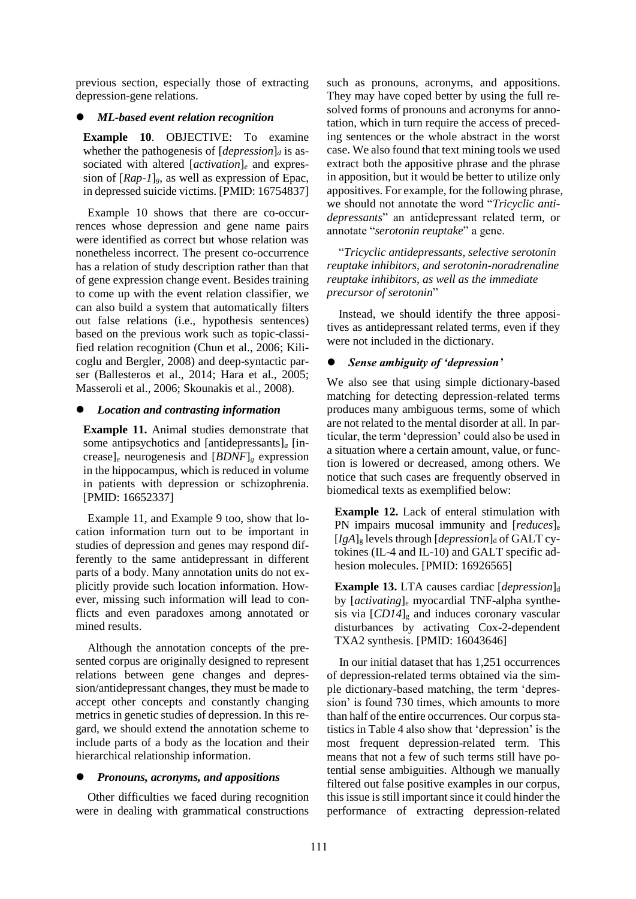previous section, especially those of extracting depression-gene relations.

### *ML-based event relation recognition*

**Example 10**. OBJECTIVE: To examine whether the pathogenesis of  $[depression]_d$  is associated with altered [*activation*]*<sup>e</sup>* and expression of [*Rap-1*]*g*, as well as expression of Epac, in depressed suicide victims. [PMID: 16754837]

Example 10 shows that there are co-occurrences whose depression and gene name pairs were identified as correct but whose relation was nonetheless incorrect. The present co-occurrence has a relation of study description rather than that of gene expression change event. Besides training to come up with the event relation classifier, we can also build a system that automatically filters out false relations (i.e., hypothesis sentences) based on the previous work such as topic-classified relation recognition (Chun et al., 2006; Kilicoglu and Bergler, 2008) and deep-syntactic parser (Ballesteros et al., 2014; Hara et al., 2005; Masseroli et al., 2006; Skounakis et al., 2008).

### *Location and contrasting information*

**Example 11.** Animal studies demonstrate that some antipsychotics and [antidepressants]*<sup>a</sup>* [increase]*<sup>e</sup>* neurogenesis and [*BDNF*]*<sup>g</sup>* expression in the hippocampus, which is reduced in volume in patients with depression or schizophrenia. [PMID: 16652337]

Example 11, and Example 9 too, show that location information turn out to be important in studies of depression and genes may respond differently to the same antidepressant in different parts of a body. Many annotation units do not explicitly provide such location information. However, missing such information will lead to conflicts and even paradoxes among annotated or mined results.

Although the annotation concepts of the presented corpus are originally designed to represent relations between gene changes and depression/antidepressant changes, they must be made to accept other concepts and constantly changing metrics in genetic studies of depression. In this regard, we should extend the annotation scheme to include parts of a body as the location and their hierarchical relationship information.

### *Pronouns, acronyms, and appositions*

Other difficulties we faced during recognition were in dealing with grammatical constructions

such as pronouns, acronyms, and appositions. They may have coped better by using the full resolved forms of pronouns and acronyms for annotation, which in turn require the access of preceding sentences or the whole abstract in the worst case. We also found that text mining tools we used extract both the appositive phrase and the phrase in apposition, but it would be better to utilize only appositives. For example, for the following phrase, we should not annotate the word "*Tricyclic antidepressants*" an antidepressant related term, or annotate "*serotonin reuptake*" a gene.

"*Tricyclic antidepressants, selective serotonin reuptake inhibitors, and serotonin-noradrenaline reuptake inhibitors, as well as the immediate precursor of serotonin*"

Instead, we should identify the three appositives as antidepressant related terms, even if they were not included in the dictionary.

# *Sense ambiguity of 'depression'*

We also see that using simple dictionary-based matching for detecting depression-related terms produces many ambiguous terms, some of which are not related to the mental disorder at all. In particular, the term 'depression' could also be used in a situation where a certain amount, value, or function is lowered or decreased, among others. We notice that such cases are frequently observed in biomedical texts as exemplified below:

**Example 12.** Lack of enteral stimulation with PN impairs mucosal immunity and [*reduces*]<sub>e</sub>  $[IgA]_g$  levels through  $[depression]_d$  of GALT cytokines (IL-4 and IL-10) and GALT specific adhesion molecules. [PMID: 16926565]

**Example 13.** LTA causes cardiac [*depression*]<sub>d</sub> by [*activating*]<sup>e</sup> myocardial TNF-alpha synthesis via  $[CD14]_{g}$  and induces coronary vascular disturbances by activating Cox-2-dependent TXA2 synthesis. [PMID: 16043646]

In our initial dataset that has 1,251 occurrences of depression-related terms obtained via the simple dictionary-based matching, the term 'depression' is found 730 times, which amounts to more than half of the entire occurrences. Our corpus statistics in Table 4 also show that 'depression' is the most frequent depression-related term. This means that not a few of such terms still have potential sense ambiguities. Although we manually filtered out false positive examples in our corpus, this issue is still important since it could hinder the performance of extracting depression-related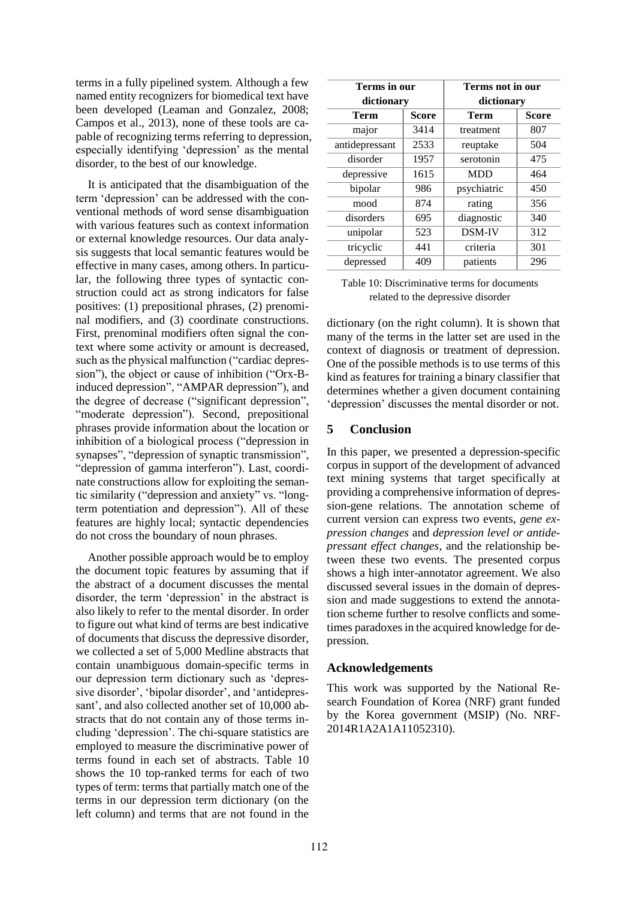terms in a fully pipelined system. Although a few named entity recognizers for biomedical text have been developed (Leaman and Gonzalez, 2008; Campos et al., 2013), none of these tools are capable of recognizing terms referring to depression, especially identifying 'depression' as the mental disorder, to the best of our knowledge.

It is anticipated that the disambiguation of the term 'depression' can be addressed with the conventional methods of word sense disambiguation with various features such as context information or external knowledge resources. Our data analysis suggests that local semantic features would be effective in many cases, among others. In particular, the following three types of syntactic construction could act as strong indicators for false positives: (1) prepositional phrases, (2) prenominal modifiers, and (3) coordinate constructions. First, prenominal modifiers often signal the context where some activity or amount is decreased, such as the physical malfunction ("cardiac depression"), the object or cause of inhibition ("Orx-Binduced depression", "AMPAR depression"), and the degree of decrease ("significant depression", "moderate depression"). Second, prepositional phrases provide information about the location or inhibition of a biological process ("depression in synapses", "depression of synaptic transmission", "depression of gamma interferon"). Last, coordinate constructions allow for exploiting the semantic similarity ("depression and anxiety" vs. "longterm potentiation and depression"). All of these features are highly local; syntactic dependencies do not cross the boundary of noun phrases.

Another possible approach would be to employ the document topic features by assuming that if the abstract of a document discusses the mental disorder, the term 'depression' in the abstract is also likely to refer to the mental disorder. In order to figure out what kind of terms are best indicative of documents that discuss the depressive disorder, we collected a set of 5,000 Medline abstracts that contain unambiguous domain-specific terms in our depression term dictionary such as 'depressive disorder', 'bipolar disorder', and 'antidepressant', and also collected another set of 10,000 abstracts that do not contain any of those terms including 'depression'. The chi-square statistics are employed to measure the discriminative power of terms found in each set of abstracts. Table 10 shows the 10 top-ranked terms for each of two types of term: terms that partially match one of the terms in our depression term dictionary (on the left column) and terms that are not found in the

| Terms in our<br>dictionary |      | Terms not in our<br>dictionary |              |  |
|----------------------------|------|--------------------------------|--------------|--|
| <b>Score</b><br>Term       |      | Term                           | <b>Score</b> |  |
| major                      | 3414 | treatment                      | 807          |  |
| antidepressant             | 2533 | reuptake                       | 504          |  |
| disorder                   | 1957 | serotonin                      | 475          |  |
| depressive                 | 1615 | <b>MDD</b>                     | 464          |  |
| bipolar                    | 986  | psychiatric                    | 450          |  |
| mood                       | 874  | rating                         | 356          |  |
| disorders                  | 695  | diagnostic                     | 340          |  |
| unipolar                   | 523  | <b>DSM-IV</b>                  | 312          |  |
| tricyclic                  | 441  | criteria                       | 301          |  |
| depressed                  | 409  | patients                       | 296          |  |

| Table 10: Discriminative terms for documents |
|----------------------------------------------|
| related to the depressive disorder           |

dictionary (on the right column). It is shown that many of the terms in the latter set are used in the context of diagnosis or treatment of depression. One of the possible methods is to use terms of this kind as features for training a binary classifier that determines whether a given document containing 'depression' discusses the mental disorder or not.

#### **5 Conclusion**

In this paper, we presented a depression-specific corpus in support of the development of advanced text mining systems that target specifically at providing a comprehensive information of depression-gene relations. The annotation scheme of current version can express two events, *gene expression changes* and *depression level or antidepressant effect changes*, and the relationship between these two events. The presented corpus shows a high inter-annotator agreement. We also discussed several issues in the domain of depression and made suggestions to extend the annotation scheme further to resolve conflicts and sometimes paradoxes in the acquired knowledge for depression.

#### **Acknowledgements**

This work was supported by the National Research Foundation of Korea (NRF) grant funded by the Korea government (MSIP) (No. NRF-2014R1A2A1A11052310).